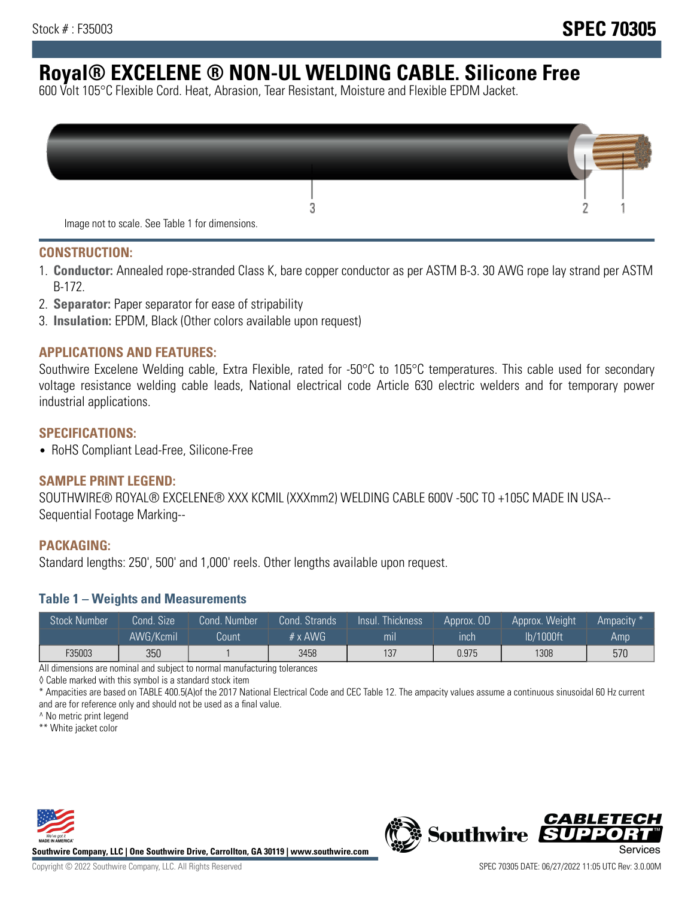# **Royal® EXCELENE ® NON-UL WELDING CABLE. Silicone Free**

600 Volt 105°C Flexible Cord. Heat, Abrasion, Tear Resistant, Moisture and Flexible EPDM Jacket.

| Image not to scale. See Table 1 for dimensions. |  |
|-------------------------------------------------|--|

#### **CONSTRUCTION:**

- 1. **Conductor:** Annealed rope-stranded Class K, bare copper conductor as per ASTM B-3. 30 AWG rope lay strand per ASTM B-172.
- 2. **Separator:** Paper separator for ease of stripability
- 3. **Insulation:** EPDM, Black (Other colors available upon request)

#### **APPLICATIONS AND FEATURES:**

Southwire Excelene Welding cable, Extra Flexible, rated for -50°C to 105°C temperatures. This cable used for secondary voltage resistance welding cable leads, National electrical code Article 630 electric welders and for temporary power industrial applications.

#### **SPECIFICATIONS:**

• RoHS Compliant Lead-Free, Silicone-Free

### **SAMPLE PRINT LEGEND:**

SOUTHWIRE® ROYAL® EXCELENE® XXX KCMIL (XXXmm2) WELDING CABLE 600V -50C TO +105C MADE IN USA-- Sequential Footage Marking--

#### **PACKAGING:**

Standard lengths: 250', 500' and 1,000' reels. Other lengths available upon request.

#### **Table 1 – Weights and Measurements**

| <b>Stock Number</b> | Cond. Size' | Cond. Number | Cond. Strands  | Insul. Thickness | Approx. OD | Approx. Weight | "Ampacity |
|---------------------|-------------|--------------|----------------|------------------|------------|----------------|-----------|
|                     | AWG/Kcmil   | Count        | $# \times$ AWG | mı               | inch       | lb/1000ft      | Amp       |
| F35003              | 350         |              | 3458           | 137              | 0.975      | 1308           | 570       |

All dimensions are nominal and subject to normal manufacturing tolerances

◊ Cable marked with this symbol is a standard stock item

\* Ampacities are based on TABLE 400.5(A)of the 2017 National Electrical Code and CEC Table 12. The ampacity values assume a continuous sinusoidal 60 Hz current and are for reference only and should not be used as a final value.

^ No metric print legend

\*\* White jacket color



**Southwire Company, LLC | One Southwire Drive, Carrollton, GA 30119 | www.southwire.com**